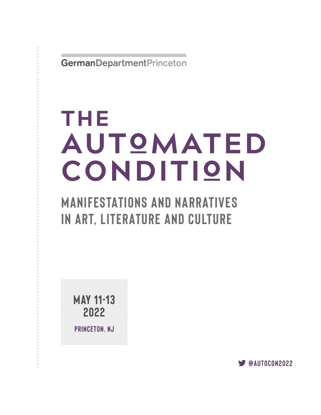GermanDepartmentPrinceton

# THE AUTOMATED CONDITION

# **MANIFESTATIONS AND NARRATIVES IN ART, LITERATURE AND CULTURE**

**MAY 11-13 2022**

**PRINCETON, NJ**

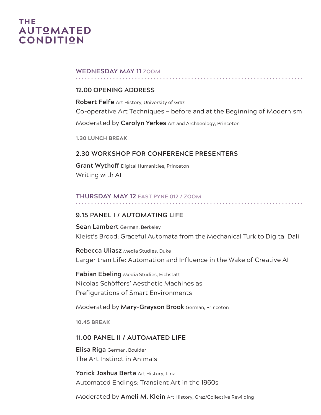# THE **AUTOMATED CONDITION**

#### **WEDNESDAY MAY 11 ZOOM**

#### **12.00 OPENING ADDRESS**

**Robert Felfe** Art History, University of Graz Co-operative Art Techniques — before and at the Beginning of Modernism Moderated by **Carolyn Yerkes** Art and Archaeology, Princeton

**1.30 LUNCH BREAK**

#### **2.30 WORKSHOP FOR CONFERENCE PRESENTERS**

**Grant Wythoff** Digital Humanities, Princeton Writing with AI

#### **THURSDAY MAY 12 EAST PYNE 012 / ZOOM**

#### **9.15 PANEL I / AUTOMATING LIFE**

**Sean Lambert** German, Berkeley Kleist's Brood: Graceful Automata from the Mechanical Turk to Digital Dali

**Rebecca Uliasz** Media Studies, Duke Larger than Life: Automation and Influence in the Wake of Creative AI

**Fabian Ebeling** Media Studies, Eichstätt Nicolas Schöffers' Aesthetic Machines as Prefigurations of Smart Environments

Moderated by **Mary-Grayson Brook** German, Princeton

**10.45 BREAK**

#### **11.00 PANEL II / AUTOMATED LIFE**

**Elisa Riga** German, Boulder The Art Instinct in Animals

**Yorick Joshua Berta** Art History, Linz Automated Endings: Transient Art in the 1960s

Moderated by **Ameli M. Klein** Art History, Graz/Collective Rewilding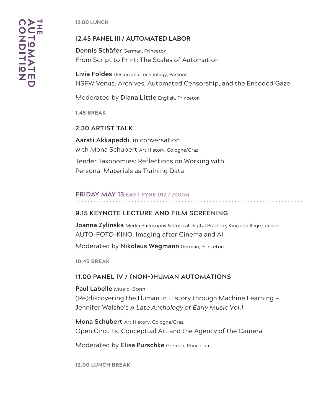**12.00 LUNCH**

#### **12.45 PANEL III / AUTOMATED LABOR**

**Dennis Schäfer** German, Princeton From Script to Print: The Scales of Automation

**Livia Foldes** Design and Technology, Parsons NSFW Venus: Archives, Automated Censorship, and the Encoded Gaze

Moderated by **Diana Little** English, Princeton

**1.45 BREAK**

**2.30 ARTIST TALK**

**Aarati Akkapeddi**, in conversation with Mona Schubert Art History, Cologne/Graz Tender Taxonomies: Reflections on Working with

Personal Materials as Training Data

## **FRIDAY MAY 13 EAST PYNE 012 / ZOOM**

#### **9.15 KEYNOTE LECTURE AND FILM SCREENING**

**Joanna Zylinska** Media Philosophy & Critical Digital Practice, King's College London AUTO-FOTO-KINO: Imaging after Cinema and AI

Moderated by **Nikolaus Wegmann** German, Princeton

**10.45 BREAK**

#### **11.00 PANEL IV / (NON-)HUMAN AUTOMATIONS**

**Paul Labelle** Music, Bonn (Re)discovering the Human in History through Machine Learning — Jennifer Walshe's *A Late Anthology of Early Music Vol.1*

**Mona Schubert** Art History, Cologne/Graz Open Circuits. Conceptual Art and the Agency of the Camera

Moderated by **Elisa Purschke** German, Princeton

**12.00 LUNCH BREAK**